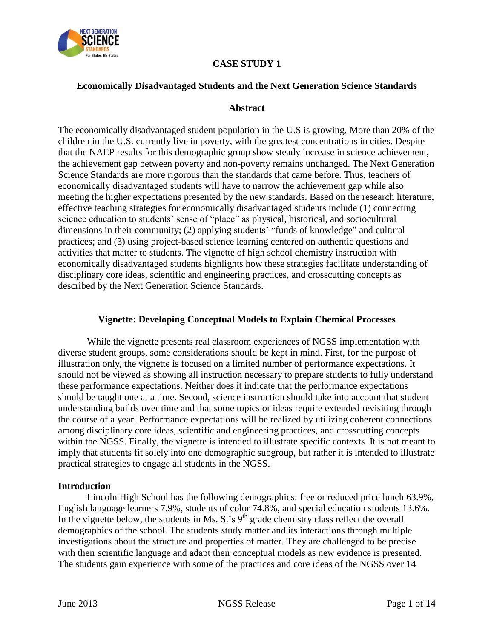

# **CASE STUDY 1**

## **Economically Disadvantaged Students and the Next Generation Science Standards**

#### **Abstract**

The economically disadvantaged student population in the U.S is growing. More than 20% of the children in the U.S. currently live in poverty, with the greatest concentrations in cities. Despite that the NAEP results for this demographic group show steady increase in science achievement, the achievement gap between poverty and non-poverty remains unchanged. The Next Generation Science Standards are more rigorous than the standards that came before. Thus, teachers of economically disadvantaged students will have to narrow the achievement gap while also meeting the higher expectations presented by the new standards. Based on the research literature, effective teaching strategies for economically disadvantaged students include (1) connecting science education to students' sense of "place" as physical, historical, and sociocultural dimensions in their community; (2) applying students' "funds of knowledge" and cultural practices; and (3) using project-based science learning centered on authentic questions and activities that matter to students. The vignette of high school chemistry instruction with economically disadvantaged students highlights how these strategies facilitate understanding of disciplinary core ideas, scientific and engineering practices, and crosscutting concepts as described by the Next Generation Science Standards.

## **Vignette: Developing Conceptual Models to Explain Chemical Processes**

While the vignette presents real classroom experiences of NGSS implementation with diverse student groups, some considerations should be kept in mind. First, for the purpose of illustration only, the vignette is focused on a limited number of performance expectations. It should not be viewed as showing all instruction necessary to prepare students to fully understand these performance expectations. Neither does it indicate that the performance expectations should be taught one at a time. Second, science instruction should take into account that student understanding builds over time and that some topics or ideas require extended revisiting through the course of a year. Performance expectations will be realized by utilizing coherent connections among disciplinary core ideas, scientific and engineering practices, and crosscutting concepts within the NGSS. Finally, the vignette is intended to illustrate specific contexts. It is not meant to imply that students fit solely into one demographic subgroup, but rather it is intended to illustrate practical strategies to engage all students in the NGSS.

#### **Introduction**

Lincoln High School has the following demographics: free or reduced price lunch 63.9%, English language learners 7.9%, students of color 74.8%, and special education students 13.6%. In the vignette below, the students in Ms. S.'s  $9<sup>th</sup>$  grade chemistry class reflect the overall demographics of the school. The students study matter and its interactions through multiple investigations about the structure and properties of matter. They are challenged to be precise with their scientific language and adapt their conceptual models as new evidence is presented. The students gain experience with some of the practices and core ideas of the NGSS over 14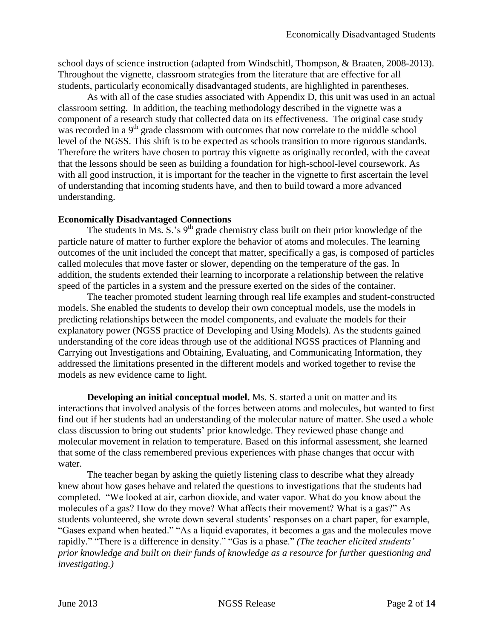school days of science instruction (adapted from Windschitl, Thompson, & Braaten, 2008-2013). Throughout the vignette, classroom strategies from the literature that are effective for all students, particularly economically disadvantaged students, are highlighted in parentheses.

As with all of the case studies associated with Appendix D, this unit was used in an actual classroom setting. In addition, the teaching methodology described in the vignette was a component of a research study that collected data on its effectiveness. The original case study was recorded in a  $9<sup>th</sup>$  grade classroom with outcomes that now correlate to the middle school level of the NGSS. This shift is to be expected as schools transition to more rigorous standards. Therefore the writers have chosen to portray this vignette as originally recorded, with the caveat that the lessons should be seen as building a foundation for high-school-level coursework. As with all good instruction, it is important for the teacher in the vignette to first ascertain the level of understanding that incoming students have, and then to build toward a more advanced understanding.

#### **Economically Disadvantaged Connections**

The students in Ms.  $S^2$  s 9<sup>th</sup> grade chemistry class built on their prior knowledge of the particle nature of matter to further explore the behavior of atoms and molecules. The learning outcomes of the unit included the concept that matter, specifically a gas, is composed of particles called molecules that move faster or slower, depending on the temperature of the gas. In addition, the students extended their learning to incorporate a relationship between the relative speed of the particles in a system and the pressure exerted on the sides of the container.

The teacher promoted student learning through real life examples and student-constructed models. She enabled the students to develop their own conceptual models, use the models in predicting relationships between the model components, and evaluate the models for their explanatory power (NGSS practice of Developing and Using Models). As the students gained understanding of the core ideas through use of the additional NGSS practices of Planning and Carrying out Investigations and Obtaining, Evaluating, and Communicating Information, they addressed the limitations presented in the different models and worked together to revise the models as new evidence came to light.

**Developing an initial conceptual model.** Ms. S. started a unit on matter and its interactions that involved analysis of the forces between atoms and molecules, but wanted to first find out if her students had an understanding of the molecular nature of matter. She used a whole class discussion to bring out students' prior knowledge. They reviewed phase change and molecular movement in relation to temperature. Based on this informal assessment, she learned that some of the class remembered previous experiences with phase changes that occur with water.

The teacher began by asking the quietly listening class to describe what they already knew about how gases behave and related the questions to investigations that the students had completed. "We looked at air, carbon dioxide, and water vapor. What do you know about the molecules of a gas? How do they move? What affects their movement? What is a gas?" As students volunteered, she wrote down several students' responses on a chart paper, for example, "Gases expand when heated." "As a liquid evaporates, it becomes a gas and the molecules move rapidly." "There is a difference in density." "Gas is a phase." *(The teacher elicited students' prior knowledge and built on their funds of knowledge as a resource for further questioning and investigating.)*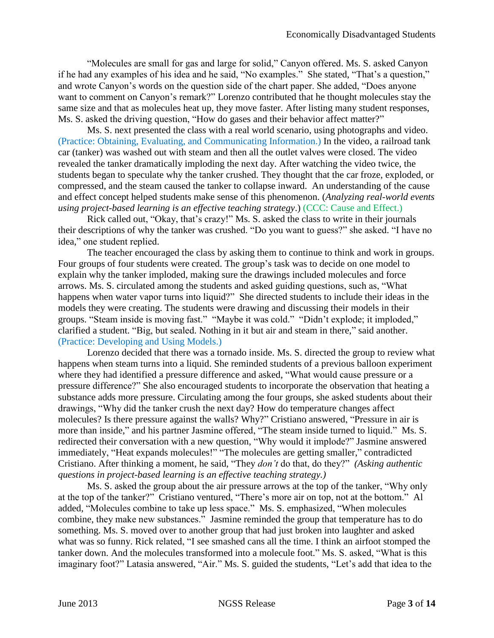"Molecules are small for gas and large for solid," Canyon offered. Ms. S. asked Canyon if he had any examples of his idea and he said, "No examples." She stated, "That's a question," and wrote Canyon's words on the question side of the chart paper. She added, "Does anyone want to comment on Canyon's remark?" Lorenzo contributed that he thought molecules stay the same size and that as molecules heat up, they move faster. After listing many student responses, Ms. S. asked the driving question, "How do gases and their behavior affect matter?"

Ms. S. next presented the class with a real world scenario, using photographs and video. (Practice: Obtaining, Evaluating, and Communicating Information.) In the video, a railroad tank car (tanker) was washed out with steam and then all the outlet valves were closed. The video revealed the tanker dramatically imploding the next day. After watching the video twice, the students began to speculate why the tanker crushed. They thought that the car froze, exploded, or compressed, and the steam caused the tanker to collapse inward. An understanding of the cause and effect concept helped students make sense of this phenomenon. (*Analyzing real-world events using project-based learning is an effective teaching strategy*.) (CCC: Cause and Effect.)

Rick called out, "Okay, that's crazy!" Ms. S. asked the class to write in their journals their descriptions of why the tanker was crushed. "Do you want to guess?" she asked. "I have no idea," one student replied.

The teacher encouraged the class by asking them to continue to think and work in groups. Four groups of four students were created. The group's task was to decide on one model to explain why the tanker imploded, making sure the drawings included molecules and force arrows. Ms. S. circulated among the students and asked guiding questions, such as, "What happens when water vapor turns into liquid?" She directed students to include their ideas in the models they were creating. The students were drawing and discussing their models in their groups. "Steam inside is moving fast." "Maybe it was cold." "Didn't explode; it imploded," clarified a student. "Big, but sealed. Nothing in it but air and steam in there," said another. (Practice: Developing and Using Models.)

Lorenzo decided that there was a tornado inside. Ms. S. directed the group to review what happens when steam turns into a liquid. She reminded students of a previous balloon experiment where they had identified a pressure difference and asked, "What would cause pressure or a pressure difference?" She also encouraged students to incorporate the observation that heating a substance adds more pressure. Circulating among the four groups, she asked students about their drawings, "Why did the tanker crush the next day? How do temperature changes affect molecules? Is there pressure against the walls? Why?" Cristiano answered, "Pressure in air is more than inside," and his partner Jasmine offered, "The steam inside turned to liquid." Ms. S. redirected their conversation with a new question, "Why would it implode?" Jasmine answered immediately, "Heat expands molecules!" "The molecules are getting smaller," contradicted Cristiano. After thinking a moment, he said, "They *don't* do that, do they?" *(Asking authentic questions in project-based learning is an effective teaching strategy.)*

Ms. S. asked the group about the air pressure arrows at the top of the tanker, "Why only at the top of the tanker?" Cristiano ventured, "There's more air on top, not at the bottom." Al added, "Molecules combine to take up less space." Ms. S. emphasized, "When molecules combine, they make new substances." Jasmine reminded the group that temperature has to do something. Ms. S. moved over to another group that had just broken into laughter and asked what was so funny. Rick related, "I see smashed cans all the time. I think an airfoot stomped the tanker down. And the molecules transformed into a molecule foot." Ms. S. asked, "What is this imaginary foot?" Latasia answered, "Air." Ms. S. guided the students, "Let's add that idea to the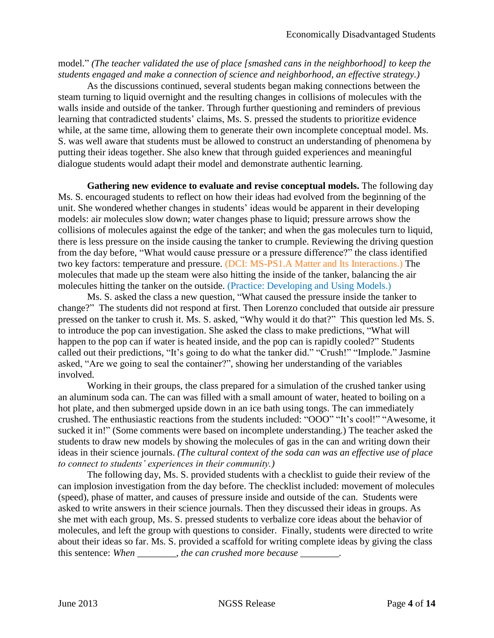model." *(The teacher validated the use of place [smashed cans in the neighborhood] to keep the students engaged and make a connection of science and neighborhood, an effective strategy.)*

As the discussions continued, several students began making connections between the steam turning to liquid overnight and the resulting changes in collisions of molecules with the walls inside and outside of the tanker. Through further questioning and reminders of previous learning that contradicted students' claims, Ms. S. pressed the students to prioritize evidence while, at the same time, allowing them to generate their own incomplete conceptual model. Ms. S. was well aware that students must be allowed to construct an understanding of phenomena by putting their ideas together. She also knew that through guided experiences and meaningful dialogue students would adapt their model and demonstrate authentic learning.

**Gathering new evidence to evaluate and revise conceptual models.** The following day Ms. S. encouraged students to reflect on how their ideas had evolved from the beginning of the unit. She wondered whether changes in students' ideas would be apparent in their developing models: air molecules slow down; water changes phase to liquid; pressure arrows show the collisions of molecules against the edge of the tanker; and when the gas molecules turn to liquid, there is less pressure on the inside causing the tanker to crumple. Reviewing the driving question from the day before, "What would cause pressure or a pressure difference?" the class identified two key factors: temperature and pressure. (DCI: MS-PS1.A Matter and Its Interactions.) The molecules that made up the steam were also hitting the inside of the tanker, balancing the air molecules hitting the tanker on the outside. (Practice: Developing and Using Models.)

Ms. S. asked the class a new question, "What caused the pressure inside the tanker to change?" The students did not respond at first. Then Lorenzo concluded that outside air pressure pressed on the tanker to crush it. Ms. S. asked, "Why would it do that?" This question led Ms. S. to introduce the pop can investigation. She asked the class to make predictions, "What will happen to the pop can if water is heated inside, and the pop can is rapidly cooled?" Students called out their predictions, "It's going to do what the tanker did." "Crush!" "Implode." Jasmine asked, "Are we going to seal the container?", showing her understanding of the variables involved.

Working in their groups, the class prepared for a simulation of the crushed tanker using an aluminum soda can. The can was filled with a small amount of water, heated to boiling on a hot plate, and then submerged upside down in an ice bath using tongs. The can immediately crushed. The enthusiastic reactions from the students included: "OOO" "It's cool!" "Awesome, it sucked it in!" (Some comments were based on incomplete understanding.) The teacher asked the students to draw new models by showing the molecules of gas in the can and writing down their ideas in their science journals. *(The cultural context of the soda can was an effective use of place to connect to students' experiences in their community.)*

The following day, Ms. S. provided students with a checklist to guide their review of the can implosion investigation from the day before. The checklist included: movement of molecules (speed), phase of matter, and causes of pressure inside and outside of the can. Students were asked to write answers in their science journals. Then they discussed their ideas in groups. As she met with each group, Ms. S. pressed students to verbalize core ideas about the behavior of molecules, and left the group with questions to consider. Finally, students were directed to write about their ideas so far. Ms. S. provided a scaffold for writing complete ideas by giving the class this sentence: *When \_\_\_\_\_\_\_\_, the can crushed more because \_\_\_\_\_\_\_\_.*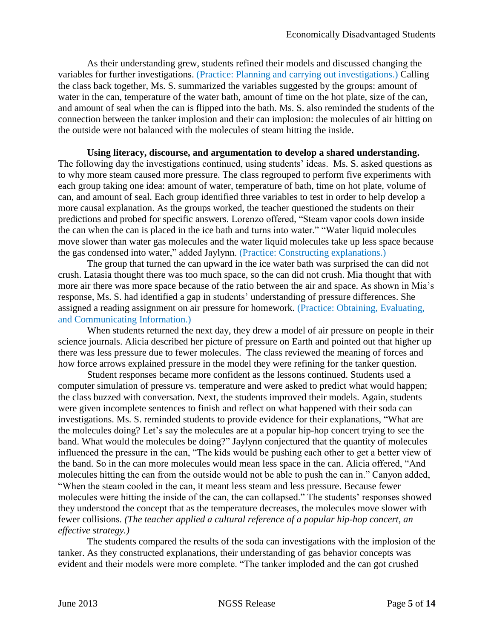As their understanding grew, students refined their models and discussed changing the variables for further investigations. (Practice: Planning and carrying out investigations.) Calling the class back together, Ms. S. summarized the variables suggested by the groups: amount of water in the can, temperature of the water bath, amount of time on the hot plate, size of the can, and amount of seal when the can is flipped into the bath. Ms. S. also reminded the students of the connection between the tanker implosion and their can implosion: the molecules of air hitting on the outside were not balanced with the molecules of steam hitting the inside.

**Using literacy, discourse, and argumentation to develop a shared understanding.** The following day the investigations continued, using students' ideas. Ms. S. asked questions as to why more steam caused more pressure. The class regrouped to perform five experiments with each group taking one idea: amount of water, temperature of bath, time on hot plate, volume of can, and amount of seal. Each group identified three variables to test in order to help develop a more causal explanation. As the groups worked, the teacher questioned the students on their predictions and probed for specific answers. Lorenzo offered, "Steam vapor cools down inside the can when the can is placed in the ice bath and turns into water." "Water liquid molecules move slower than water gas molecules and the water liquid molecules take up less space because the gas condensed into water," added Jaylynn. (Practice: Constructing explanations.)

The group that turned the can upward in the ice water bath was surprised the can did not crush. Latasia thought there was too much space, so the can did not crush. Mia thought that with more air there was more space because of the ratio between the air and space. As shown in Mia's response, Ms. S. had identified a gap in students' understanding of pressure differences. She assigned a reading assignment on air pressure for homework. (Practice: Obtaining, Evaluating, and Communicating Information.)

When students returned the next day, they drew a model of air pressure on people in their science journals. Alicia described her picture of pressure on Earth and pointed out that higher up there was less pressure due to fewer molecules. The class reviewed the meaning of forces and how force arrows explained pressure in the model they were refining for the tanker question.

Student responses became more confident as the lessons continued. Students used a computer simulation of pressure vs. temperature and were asked to predict what would happen; the class buzzed with conversation. Next, the students improved their models. Again, students were given incomplete sentences to finish and reflect on what happened with their soda can investigations. Ms. S. reminded students to provide evidence for their explanations, "What are the molecules doing? Let's say the molecules are at a popular hip-hop concert trying to see the band. What would the molecules be doing?" Jaylynn conjectured that the quantity of molecules influenced the pressure in the can, "The kids would be pushing each other to get a better view of the band. So in the can more molecules would mean less space in the can. Alicia offered, "And molecules hitting the can from the outside would not be able to push the can in." Canyon added, "When the steam cooled in the can, it meant less steam and less pressure. Because fewer molecules were hitting the inside of the can, the can collapsed." The students' responses showed they understood the concept that as the temperature decreases, the molecules move slower with fewer collisions*. (The teacher applied a cultural reference of a popular hip-hop concert, an effective strategy.)*

The students compared the results of the soda can investigations with the implosion of the tanker. As they constructed explanations, their understanding of gas behavior concepts was evident and their models were more complete. "The tanker imploded and the can got crushed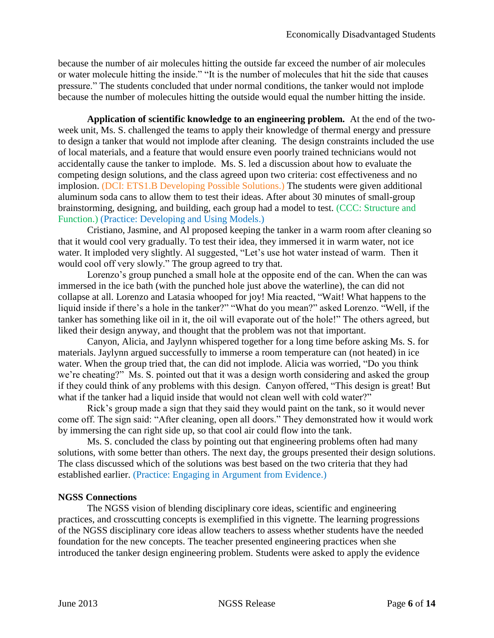because the number of air molecules hitting the outside far exceed the number of air molecules or water molecule hitting the inside." "It is the number of molecules that hit the side that causes pressure." The students concluded that under normal conditions, the tanker would not implode because the number of molecules hitting the outside would equal the number hitting the inside.

**Application of scientific knowledge to an engineering problem.** At the end of the twoweek unit, Ms. S. challenged the teams to apply their knowledge of thermal energy and pressure to design a tanker that would not implode after cleaning. The design constraints included the use of local materials, and a feature that would ensure even poorly trained technicians would not accidentally cause the tanker to implode. Ms. S. led a discussion about how to evaluate the competing design solutions, and the class agreed upon two criteria: cost effectiveness and no implosion. (DCI: ETS1.B Developing Possible Solutions.) The students were given additional aluminum soda cans to allow them to test their ideas. After about 30 minutes of small-group brainstorming, designing, and building, each group had a model to test. (CCC: Structure and Function.) (Practice: Developing and Using Models.)

Cristiano, Jasmine, and Al proposed keeping the tanker in a warm room after cleaning so that it would cool very gradually. To test their idea, they immersed it in warm water, not ice water. It imploded very slightly. Al suggested, "Let's use hot water instead of warm. Then it would cool off very slowly." The group agreed to try that.

Lorenzo's group punched a small hole at the opposite end of the can. When the can was immersed in the ice bath (with the punched hole just above the waterline), the can did not collapse at all. Lorenzo and Latasia whooped for joy! Mia reacted, "Wait! What happens to the liquid inside if there's a hole in the tanker?" "What do you mean?" asked Lorenzo. "Well, if the tanker has something like oil in it, the oil will evaporate out of the hole!" The others agreed, but liked their design anyway, and thought that the problem was not that important.

Canyon, Alicia, and Jaylynn whispered together for a long time before asking Ms. S. for materials. Jaylynn argued successfully to immerse a room temperature can (not heated) in ice water. When the group tried that, the can did not implode. Alicia was worried, "Do you think we're cheating?" Ms. S. pointed out that it was a design worth considering and asked the group if they could think of any problems with this design. Canyon offered, "This design is great! But what if the tanker had a liquid inside that would not clean well with cold water?"

Rick's group made a sign that they said they would paint on the tank, so it would never come off. The sign said: "After cleaning, open all doors." They demonstrated how it would work by immersing the can right side up, so that cool air could flow into the tank.

Ms. S. concluded the class by pointing out that engineering problems often had many solutions, with some better than others. The next day, the groups presented their design solutions. The class discussed which of the solutions was best based on the two criteria that they had established earlier. (Practice: Engaging in Argument from Evidence.)

# **NGSS Connections**

The NGSS vision of blending disciplinary core ideas, scientific and engineering practices, and crosscutting concepts is exemplified in this vignette. The learning progressions of the NGSS disciplinary core ideas allow teachers to assess whether students have the needed foundation for the new concepts. The teacher presented engineering practices when she introduced the tanker design engineering problem. Students were asked to apply the evidence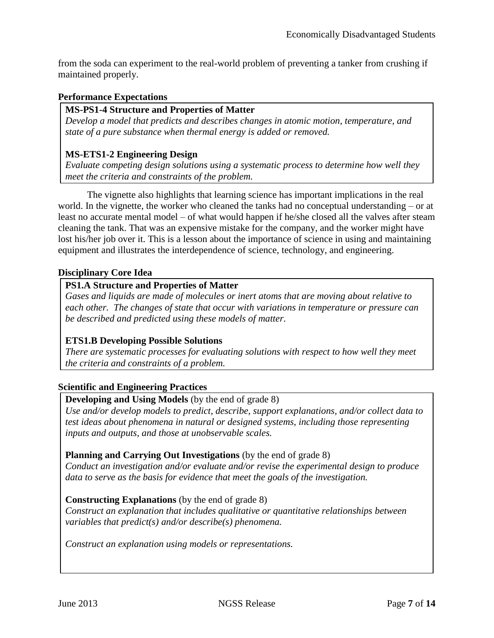from the soda can experiment to the real-world problem of preventing a tanker from crushing if maintained properly.

## **Performance Expectations**

## **MS-PS1-4 Structure and Properties of Matter**

*Develop a model that predicts and describes changes in atomic motion, temperature, and state of a pure substance when thermal energy is added or removed.*

## **MS-ETS1-2 Engineering Design**

*Evaluate competing design solutions using a systematic process to determine how well they meet the criteria and constraints of the problem.*

The vignette also highlights that learning science has important implications in the real world. In the vignette, the worker who cleaned the tanks had no conceptual understanding – or at least no accurate mental model – of what would happen if he/she closed all the valves after steam cleaning the tank. That was an expensive mistake for the company, and the worker might have lost his/her job over it. This is a lesson about the importance of science in using and maintaining equipment and illustrates the interdependence of science, technology, and engineering.

## **Disciplinary Core Idea**

## **PS1.A Structure and Properties of Matter**

*Gases and liquids are made of molecules or inert atoms that are moving about relative to each other. The changes of state that occur with variations in temperature or pressure can be described and predicted using these models of matter.*

# **ETS1.B Developing Possible Solutions**

*There are systematic processes for evaluating solutions with respect to how well they meet the criteria and constraints of a problem.*

## **Scientific and Engineering Practices**

## **Developing and Using Models** (by the end of grade 8)

*Use and/or develop models to predict, describe, support explanations, and/or collect data to test ideas about phenomena in natural or designed systems, including those representing inputs and outputs, and those at unobservable scales.*

## **Planning and Carrying Out Investigations** (by the end of grade 8)

*Conduct an investigation and/or evaluate and/or revise the experimental design to produce data to serve as the basis for evidence that meet the goals of the investigation.* 

## **Constructing Explanations** (by the end of grade 8)

*Construct an explanation that includes qualitative or quantitative relationships between variables that predict(s) and/or describe(s) phenomena.*

*Construct an explanation using models or representations.*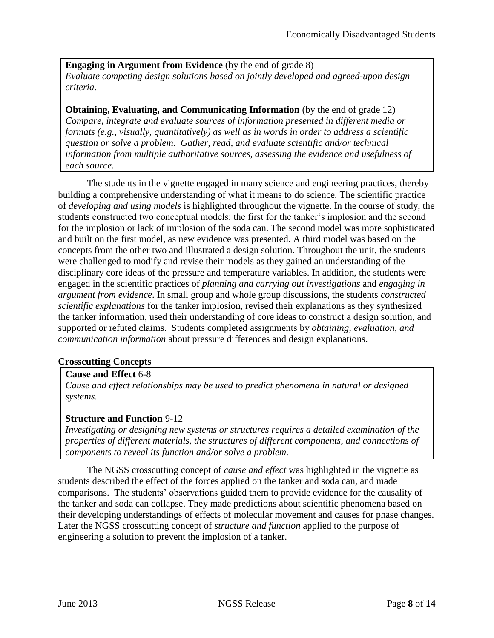**Engaging in Argument from Evidence** (by the end of grade 8) *Evaluate competing design solutions based on jointly developed and agreed-upon design criteria.*

**Obtaining, Evaluating, and Communicating Information** (by the end of grade 12) *Compare, integrate and evaluate sources of information presented in different media or formats (e.g., visually, quantitatively) as well as in words in order to address a scientific question or solve a problem. Gather, read, and evaluate scientific and/or technical information from multiple authoritative sources, assessing the evidence and usefulness of each source.*

The students in the vignette engaged in many science and engineering practices, thereby building a comprehensive understanding of what it means to do science. The scientific practice of *developing and using models* is highlighted throughout the vignette. In the course of study, the students constructed two conceptual models: the first for the tanker's implosion and the second for the implosion or lack of implosion of the soda can. The second model was more sophisticated and built on the first model, as new evidence was presented. A third model was based on the concepts from the other two and illustrated a design solution. Throughout the unit, the students were challenged to modify and revise their models as they gained an understanding of the disciplinary core ideas of the pressure and temperature variables. In addition, the students were engaged in the scientific practices of *planning and carrying out investigations* and *engaging in argument from evidence*. In small group and whole group discussions, the students *constructed scientific explanations* for the tanker implosion, revised their explanations as they synthesized the tanker information, used their understanding of core ideas to construct a design solution, and supported or refuted claims. Students completed assignments by *obtaining, evaluation, and communication information* about pressure differences and design explanations.

## **Crosscutting Concepts**

## **Cause and Effect** 6-8

*Cause and effect relationships may be used to predict phenomena in natural or designed systems.*

## **Structure and Function** 9-12

*Investigating or designing new systems or structures requires a detailed examination of the properties of different materials, the structures of different components, and connections of components to reveal its function and/or solve a problem.*

The NGSS crosscutting concept of *cause and effect* was highlighted in the vignette as students described the effect of the forces applied on the tanker and soda can, and made comparisons. The students' observations guided them to provide evidence for the causality of the tanker and soda can collapse. They made predictions about scientific phenomena based on their developing understandings of effects of molecular movement and causes for phase changes. Later the NGSS crosscutting concept of *structure and function* applied to the purpose of engineering a solution to prevent the implosion of a tanker.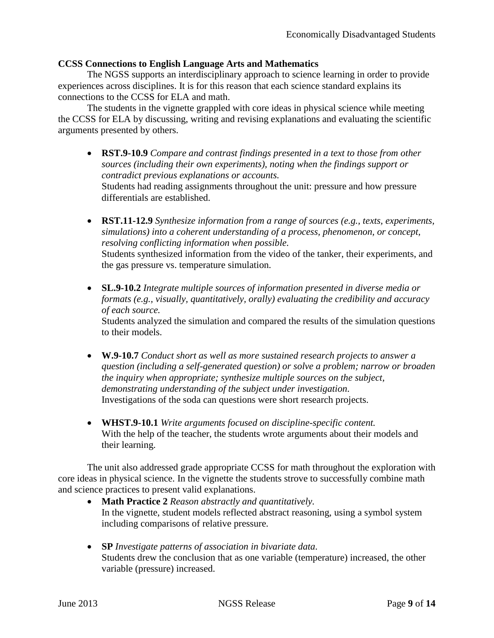## **CCSS Connections to English Language Arts and Mathematics**

The NGSS supports an interdisciplinary approach to science learning in order to provide experiences across disciplines. It is for this reason that each science standard explains its connections to the CCSS for ELA and math.

The students in the vignette grappled with core ideas in physical science while meeting the CCSS for ELA by discussing, writing and revising explanations and evaluating the scientific arguments presented by others.

- **RST.9-10.9** *Compare and contrast findings presented in a text to those from other sources (including their own experiments), noting when the findings support or contradict previous explanations or accounts.* Students had reading assignments throughout the unit: pressure and how pressure differentials are established.
- **RST.11-12.9** *Synthesize information from a range of sources (e.g., texts, experiments, simulations) into a coherent understanding of a process, phenomenon, or concept, resolving conflicting information when possible.* Students synthesized information from the video of the tanker, their experiments, and the gas pressure vs. temperature simulation.
- **[SL.9-10.2](http://corestandards.org/ELA-Literacy/SL/9-10/2/)** *Integrate multiple sources of information presented in diverse media or formats (e.g., visually, quantitatively, orally) evaluating the credibility and accuracy of each source.* Students analyzed the simulation and compared the results of the simulation questions

to their models.

- **W.9-10.7** *Conduct short as well as more sustained research projects to answer a question (including a self-generated question) or solve a problem; narrow or broaden the inquiry when appropriate; synthesize multiple sources on the subject, demonstrating understanding of the subject under investigation.* Investigations of the soda can questions were short research projects.
- **WHST.9-10.1** *Write arguments focused on discipline-specific content.* With the help of the teacher, the students wrote arguments about their models and their learning.

The unit also addressed grade appropriate CCSS for math throughout the exploration with core ideas in physical science. In the vignette the students strove to successfully combine math and science practices to present valid explanations.

- **Math Practice 2** *Reason abstractly and quantitatively.* In the vignette, student models reflected abstract reasoning, using a symbol system including comparisons of relative pressure.
- **SP** *Investigate patterns of association in bivariate data.* Students drew the conclusion that as one variable (temperature) increased, the other variable (pressure) increased.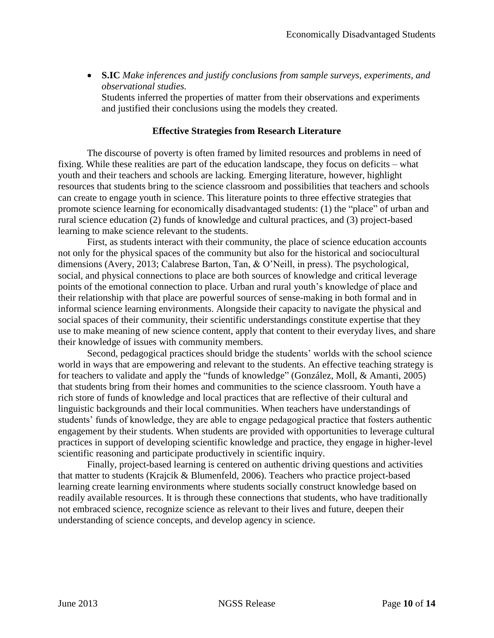**S.IC** *Make inferences and justify conclusions from sample surveys, experiments, and observational studies.*

Students inferred the properties of matter from their observations and experiments and justified their conclusions using the models they created.

## **Effective Strategies from Research Literature**

The discourse of poverty is often framed by limited resources and problems in need of fixing. While these realities are part of the education landscape, they focus on deficits – what youth and their teachers and schools are lacking. Emerging literature, however, highlight resources that students bring to the science classroom and possibilities that teachers and schools can create to engage youth in science. This literature points to three effective strategies that promote science learning for economically disadvantaged students: (1) the "place" of urban and rural science education (2) funds of knowledge and cultural practices, and (3) project-based learning to make science relevant to the students.

First, as students interact with their community, the place of science education accounts not only for the physical spaces of the community but also for the historical and sociocultural dimensions (Avery, 2013; Calabrese Barton, Tan, & O'Neill, in press). The psychological, social, and physical connections to place are both sources of knowledge and critical leverage points of the emotional connection to place. Urban and rural youth's knowledge of place and their relationship with that place are powerful sources of sense-making in both formal and in informal science learning environments. Alongside their capacity to navigate the physical and social spaces of their community, their scientific understandings constitute expertise that they use to make meaning of new science content, apply that content to their everyday lives, and share their knowledge of issues with community members.

Second, pedagogical practices should bridge the students' worlds with the school science world in ways that are empowering and relevant to the students. An effective teaching strategy is for teachers to validate and apply the "funds of knowledge" (González, Moll, & Amanti, 2005) that students bring from their homes and communities to the science classroom. Youth have a rich store of funds of knowledge and local practices that are reflective of their cultural and linguistic backgrounds and their local communities. When teachers have understandings of students' funds of knowledge, they are able to engage pedagogical practice that fosters authentic engagement by their students. When students are provided with opportunities to leverage cultural practices in support of developing scientific knowledge and practice, they engage in higher-level scientific reasoning and participate productively in scientific inquiry.

Finally, project-based learning is centered on authentic driving questions and activities that matter to students (Krajcik & Blumenfeld, 2006). Teachers who practice project-based learning create learning environments where students socially construct knowledge based on readily available resources. It is through these connections that students, who have traditionally not embraced science, recognize science as relevant to their lives and future, deepen their understanding of science concepts, and develop agency in science.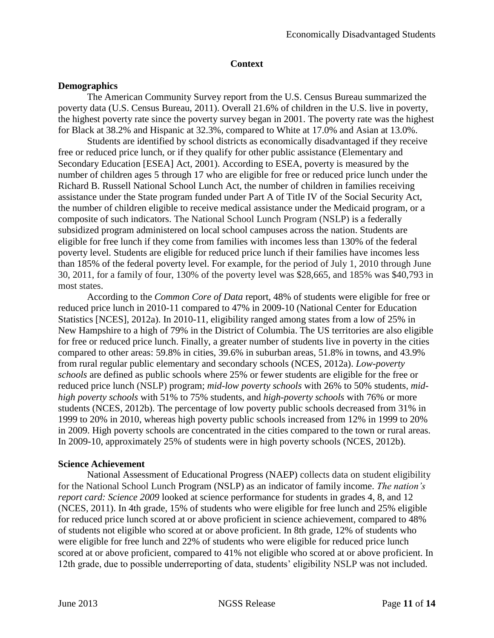## **Context**

## **Demographics**

The American Community Survey report from the U.S. Census Bureau summarized the poverty data (U.S. Census Bureau, 2011). Overall 21.6% of children in the U.S. live in poverty, the highest poverty rate since the poverty survey began in 2001. The poverty rate was the highest for Black at 38.2% and Hispanic at 32.3%, compared to White at 17.0% and Asian at 13.0%.

Students are identified by school districts as economically disadvantaged if they receive free or reduced price lunch, or if they qualify for other public assistance (Elementary and Secondary Education [ESEA] Act, 2001). According to ESEA, poverty is measured by the number of children ages 5 through 17 who are eligible for free or reduced price lunch under the Richard B. Russell National School Lunch Act, the number of children in families receiving assistance under the State program funded under Part A of Title IV of the Social Security Act, the number of children eligible to receive medical assistance under the Medicaid program, or a composite of such indicators. The National School Lunch Program (NSLP) is a federally subsidized program administered on local school campuses across the nation. Students are eligible for free lunch if they come from families with incomes less than 130% of the federal poverty level. Students are eligible for reduced price lunch if their families have incomes less than 185% of the federal poverty level. For example, for the period of July 1, 2010 through June 30, 2011, for a family of four, 130% of the poverty level was \$28,665, and 185% was \$40,793 in most states.

According to the *Common Core of Data* report, 48% of students were eligible for free or reduced price lunch in 2010-11 compared to 47% in 2009-10 (National Center for Education Statistics [NCES], 2012a). In 2010-11, eligibility ranged among states from a low of 25% in New Hampshire to a high of 79% in the District of Columbia. The US territories are also eligible for free or reduced price lunch. Finally, a greater number of students live in poverty in the cities compared to other areas: 59.8% in cities, 39.6% in suburban areas, 51.8% in towns, and 43.9% from rural regular public elementary and secondary schools (NCES, 2012a). *Low-poverty schools* are defined as public schools where 25% or fewer students are eligible for the free or reduced price lunch (NSLP) program; *mid-low poverty schools* with 26% to 50% students, *midhigh poverty schools* with 51% to 75% students, and *high-poverty schools* with 76% or more students (NCES, 2012b). The percentage of low poverty public schools decreased from 31% in 1999 to 20% in 2010, whereas high poverty public schools increased from 12% in 1999 to 20% in 2009. High poverty schools are concentrated in the cities compared to the town or rural areas. In 2009-10, approximately 25% of students were in high poverty schools (NCES, 2012b).

# **Science Achievement**

National Assessment of Educational Progress (NAEP) collects data on student eligibility for the National School Lunch Program (NSLP) as an indicator of family income. *The nation's report card: Science 2009* looked at science performance for students in grades 4, 8, and 12 (NCES, 2011). In 4th grade, 15% of students who were eligible for free lunch and 25% eligible for reduced price lunch scored at or above proficient in science achievement, compared to 48% of students not eligible who scored at or above proficient. In 8th grade, 12% of students who were eligible for free lunch and 22% of students who were eligible for reduced price lunch scored at or above proficient, compared to 41% not eligible who scored at or above proficient. In 12th grade, due to possible underreporting of data, students' eligibility NSLP was not included.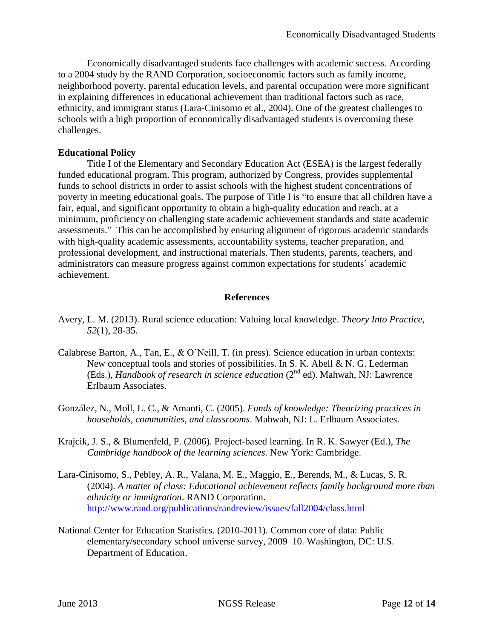Economically disadvantaged students face challenges with academic success. According to a [2004 study](http://www.dallasindicators.com/Portals/8/Reports/Reports_External/RAND_examining_gaps.pdf) by the RAND Corporation, socioeconomic factors such as family income, neighborhood poverty, parental education levels, and parental occupation were more significant in explaining differences in educational achievement than traditional factors such as race, ethnicity, and immigrant status (Lara-Cinisomo et al., 2004). One of the greatest challenges to schools with a high proportion of economically disadvantaged students is overcoming these challenges.

## **Educational Policy**

Title I of the Elementary and Secondary Education Act (ESEA) is the largest federally funded educational program. This program, authorized by Congress, provides supplemental funds to school districts in order to assist schools with the highest student concentrations of poverty in meeting educational goals. The purpose of Title I is "to ensure that all children have a fair, equal, and significant opportunity to obtain a high-quality education and reach, at a minimum, proficiency on challenging state academic achievement standards and state academic assessments." This can be accomplished by ensuring alignment of rigorous academic standards with high-quality academic assessments, accountability systems, teacher preparation, and professional development, and instructional materials. Then students, parents, teachers, and administrators can measure progress against common expectations for students' academic achievement.

## **References**

- Avery, L. M. (2013). Rural science education: Valuing local knowledge. *Theory Into Practice, 52*(1), 28-35.
- Calabrese Barton, A., Tan, E., & O'Neill, T. (in press). Science education in urban contexts: New conceptual tools and stories of possibilities. In S. K. Abell & N. G. Lederman (Eds.), *Handbook of research in science education* (2nd ed). Mahwah, NJ: Lawrence Erlbaum Associates.
- González, N., Moll, L. C., & Amanti, C. (2005). *Funds of knowledge: Theorizing practices in households, communities, and classrooms*. Mahwah, NJ: L. Erlbaum Associates.
- Krajcik, J. S., & Blumenfeld, P. (2006). Project-based learning. In R. K. Sawyer (Ed.), *The Cambridge handbook of the learning sciences.* New York: Cambridge.
- Lara-Cinisomo, S., Pebley, A. R., [Valana,](http://www.rand.org/publications/randreview/issues/fall2004/class.htmlValana) M. E., Maggio, E., Berends, M., & Lucas, S. R. (2004). *A matter of class: Educational achievement reflects family background more than ethnicity or immigration*. RAND Corporation. <http://www.rand.org/publications/randreview/issues/fall2004/class.html>
- National Center for Education Statistics. (2010-2011). Common core of data: Public elementary/secondary school universe survey, 2009–10. Washington, DC: U.S. Department of Education.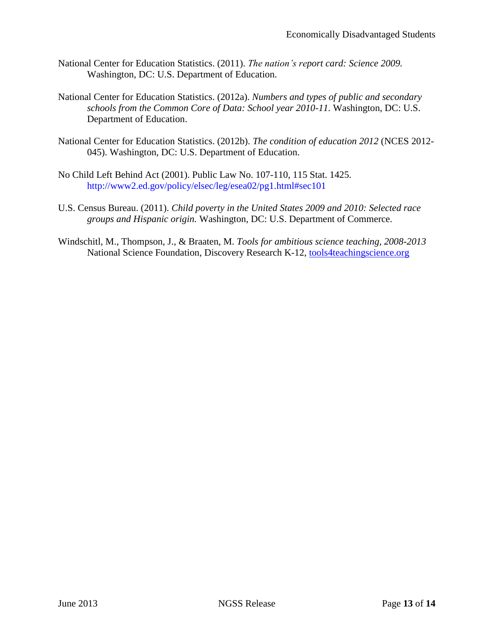- National Center for Education Statistics. (2011). *The nation's report card: Science 2009.* Washington, DC: U.S. Department of Education.
- National Center for Education Statistics. (2012a). *Numbers and types of public and secondary schools from the Common Core of Data: School year 2010-11.* Washington, DC: U.S. Department of Education.
- National Center for Education Statistics. (2012b). *The condition of education 2012* (NCES 2012- 045). Washington, DC: U.S. Department of Education.
- No Child Left Behind Act (2001). Public Law No. 107-110, 115 Stat. 1425. <http://www2.ed.gov/policy/elsec/leg/esea02/pg1.html#sec101>
- U.S. Census Bureau. (2011). *Child poverty in the United States 2009 and 2010: Selected race groups and Hispanic origin.* Washington, DC: U.S. Department of Commerce.
- Windschitl, M., Thompson, J., & Braaten, M. *Tools for ambitious science teaching, 2008-2013* National Science Foundation, Discovery Research K-12, [tools4teachingscience.org](http://tools4teachingscience.org/)